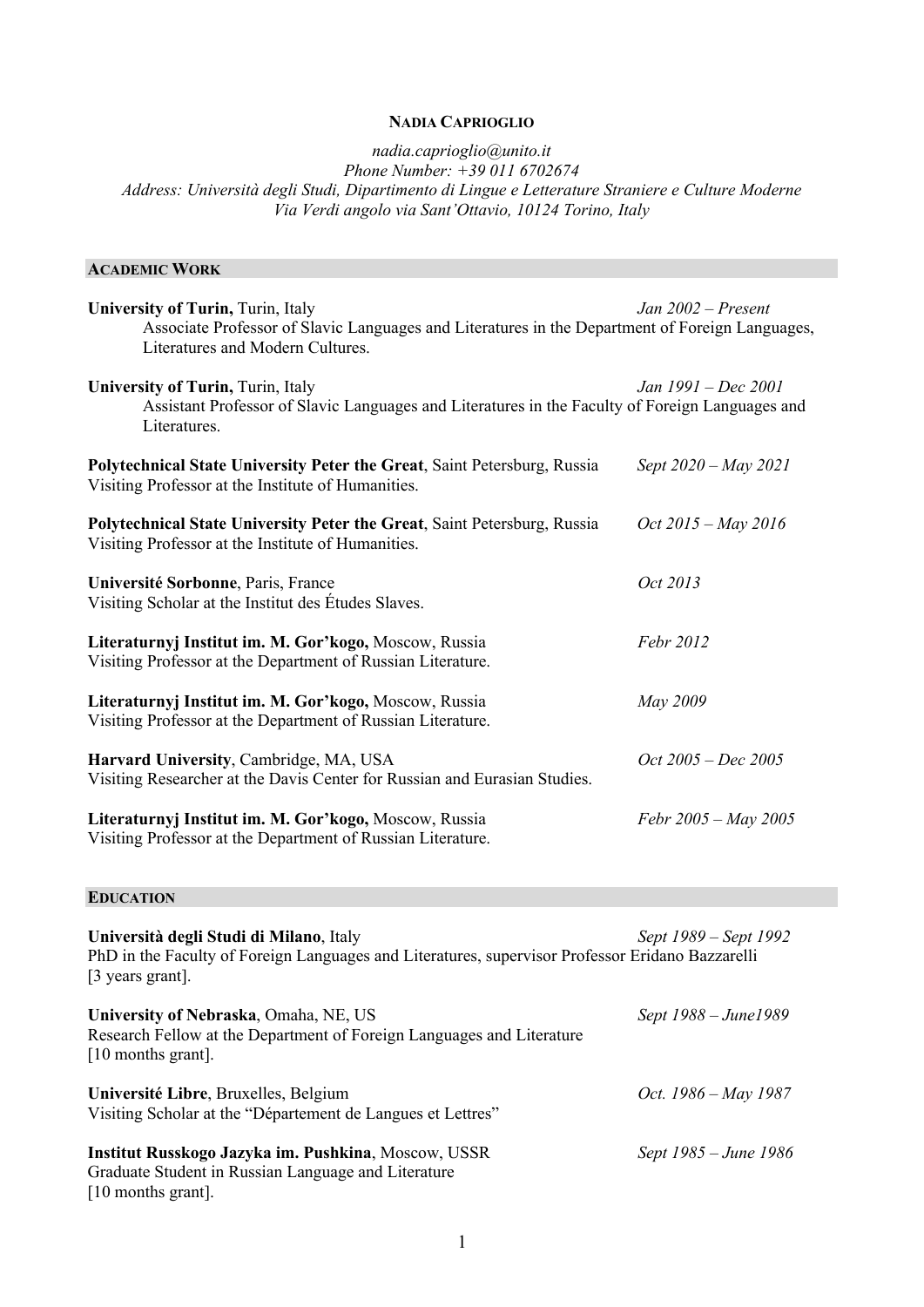# **NADIA CAPRIOGLIO**

*nadia.caprioglio@unito.it Phone Number: +39 011 6702674 Address: Università degli Studi, Dipartimento di Lingue e Letterature Straniere e Culture Moderne Via Verdi angolo via Sant'Ottavio, 10124 Torino, Italy*

### **ACADEMIC WORK**

| <b>University of Turin, Turin, Italy</b><br>Associate Professor of Slavic Languages and Literatures in the Department of Foreign Languages,<br>Literatures and Modern Cultures. | Jan $2002$ – Present    |
|---------------------------------------------------------------------------------------------------------------------------------------------------------------------------------|-------------------------|
| <b>University of Turin, Turin, Italy</b><br>Assistant Professor of Slavic Languages and Literatures in the Faculty of Foreign Languages and<br>Literatures.                     | Jan 1991 – Dec 2001     |
| Polytechnical State University Peter the Great, Saint Petersburg, Russia<br>Visiting Professor at the Institute of Humanities.                                                  | Sept 2020 – May 2021    |
| Polytechnical State University Peter the Great, Saint Petersburg, Russia<br>Visiting Professor at the Institute of Humanities.                                                  | $Oct\,2015 - May\,2016$ |
| Université Sorbonne, Paris, France<br>Visiting Scholar at the Institut des Études Slaves.                                                                                       | Oct 2013                |
| Literaturnyj Institut im. M. Gor'kogo, Moscow, Russia<br>Visiting Professor at the Department of Russian Literature.                                                            | Febr 2012               |
| Literaturnyj Institut im. M. Gor'kogo, Moscow, Russia<br>Visiting Professor at the Department of Russian Literature.                                                            | May 2009                |
| Harvard University, Cambridge, MA, USA<br>Visiting Researcher at the Davis Center for Russian and Eurasian Studies.                                                             | $Oct\ 2005 - Dec\ 2005$ |
| Literaturnyj Institut im. M. Gor'kogo, Moscow, Russia<br>Visiting Professor at the Department of Russian Literature.                                                            | Febr 2005 – May 2005    |

# **EDUCATION**

| Università degli Studi di Milano, Italy<br>PhD in the Faculty of Foreign Languages and Literatures, supervisor Professor Eridano Bazzarelli<br>[3 years grant]. | Sept 1989 – Sept 1992 |
|-----------------------------------------------------------------------------------------------------------------------------------------------------------------|-----------------------|
| University of Nebraska, Omaha, NE, US<br>Research Fellow at the Department of Foreign Languages and Literature<br>$[10$ months grant].                          | Sept 1988 – June1989  |
| Université Libre, Bruxelles, Belgium<br>Visiting Scholar at the "Département de Langues et Lettres"                                                             | Oct. 1986 – May 1987  |
| Institut Russkogo Jazyka im. Pushkina, Moscow, USSR<br>Graduate Student in Russian Language and Literature<br>$[10$ months grant].                              | Sept 1985 – June 1986 |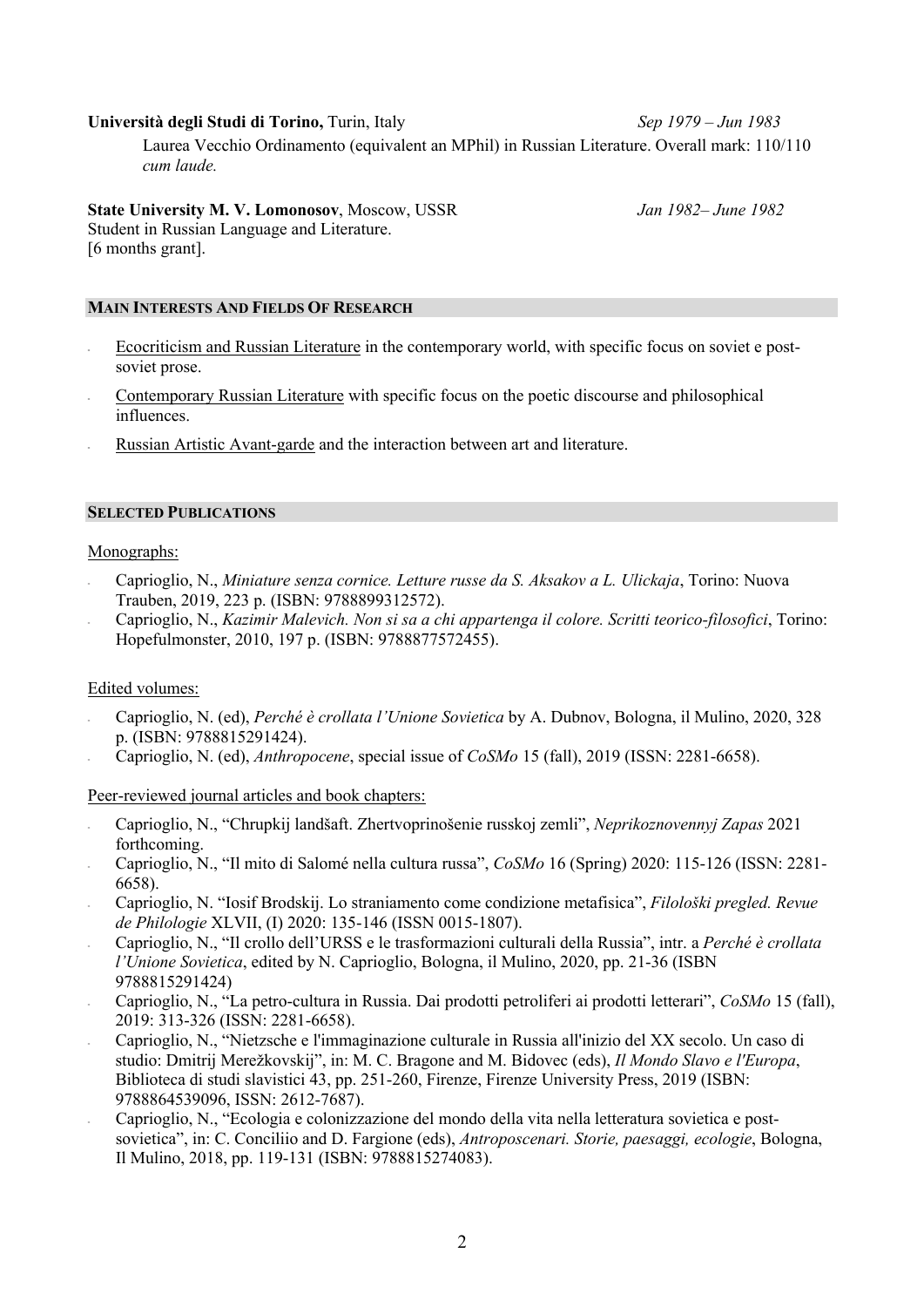**Università degli Studi di Torino,** Turin, Italy *Sep 1979 – Jun 1983*

Laurea Vecchio Ordinamento (equivalent an MPhil) in Russian Literature. Overall mark: 110/110 *cum laude.*

**State University M. V. Lomonosov**, Moscow, USSR *Jan 1982– June 1982* Student in Russian Language and Literature.

[6 months grant].

### **MAIN INTERESTS AND FIELDS OF RESEARCH**

- Ecocriticism and Russian Literature in the contemporary world, with specific focus on soviet e postsoviet prose.
- Contemporary Russian Literature with specific focus on the poetic discourse and philosophical influences.
- Russian Artistic Avant-garde and the interaction between art and literature.

### **SELECTED PUBLICATIONS**

### Monographs:

- Caprioglio, N., *Miniature senza cornice. Letture russe da S. Aksakov a L. Ulickaja*, Torino: Nuova Trauben, 2019, 223 p. (ISBN: 9788899312572).
- Caprioglio, N., *Kazimir Malevich. Non si sa a chi appartenga il colore. Scritti teorico-filosofici*, Torino: Hopefulmonster, 2010, 197 p. (ISBN: 9788877572455).

#### Edited volumes:

- Caprioglio, N. (ed), *Perché è crollata l'Unione Sovietica* by A. Dubnov, Bologna, il Mulino, 2020, 328 p. (ISBN: 9788815291424).
- Caprioglio, N. (ed), *Anthropocene*, special issue of *CoSMo* 15 (fall), 2019 (ISSN: 2281-6658).

#### Peer-reviewed journal articles and book chapters:

- Caprioglio, N., "Chrupkij landšaft. Zhertvoprinošenie russkoj zemli", *Neprikoznovennyj Zapas* 2021 forthcoming.
- Caprioglio, N., "Il mito di Salomé nella cultura russa", *CoSMo* 16 (Spring) 2020: 115-126 (ISSN: 2281- 6658).
- Caprioglio, N. "Iosif Brodskij. Lo straniamento come condizione metafisica", *Filološki pregled. Revue de Philologie* XLVII, (I) 2020: 135-146 (ISSN 0015-1807).
- Caprioglio, N., "Il crollo dell'URSS e le trasformazioni culturali della Russia", intr. a *Perché è crollata l'Unione Sovietica*, edited by N. Caprioglio, Bologna, il Mulino, 2020, pp. 21-36 (ISBN 9788815291424)
- Caprioglio, N., "La petro-cultura in Russia. Dai prodotti petroliferi ai prodotti letterari", *CoSMo* 15 (fall), 2019: 313-326 (ISSN: 2281-6658).
- Caprioglio, N., "Nietzsche e l'immaginazione culturale in Russia all'inizio del XX secolo. Un caso di studio: Dmitrij Merežkovskij", in: M. C. Bragone and M. Bidovec (eds), *Il Mondo Slavo e l'Europa*, Biblioteca di studi slavistici 43, pp. 251-260, Firenze, Firenze University Press, 2019 (ISBN: 9788864539096, ISSN: 2612-7687).
- Caprioglio, N., "Ecologia e colonizzazione del mondo della vita nella letteratura sovietica e postsovietica", in: C. Conciliio and D. Fargione (eds), *Antroposcenari. Storie, paesaggi, ecologie*, Bologna, Il Mulino, 2018, pp. 119-131 (ISBN: 9788815274083).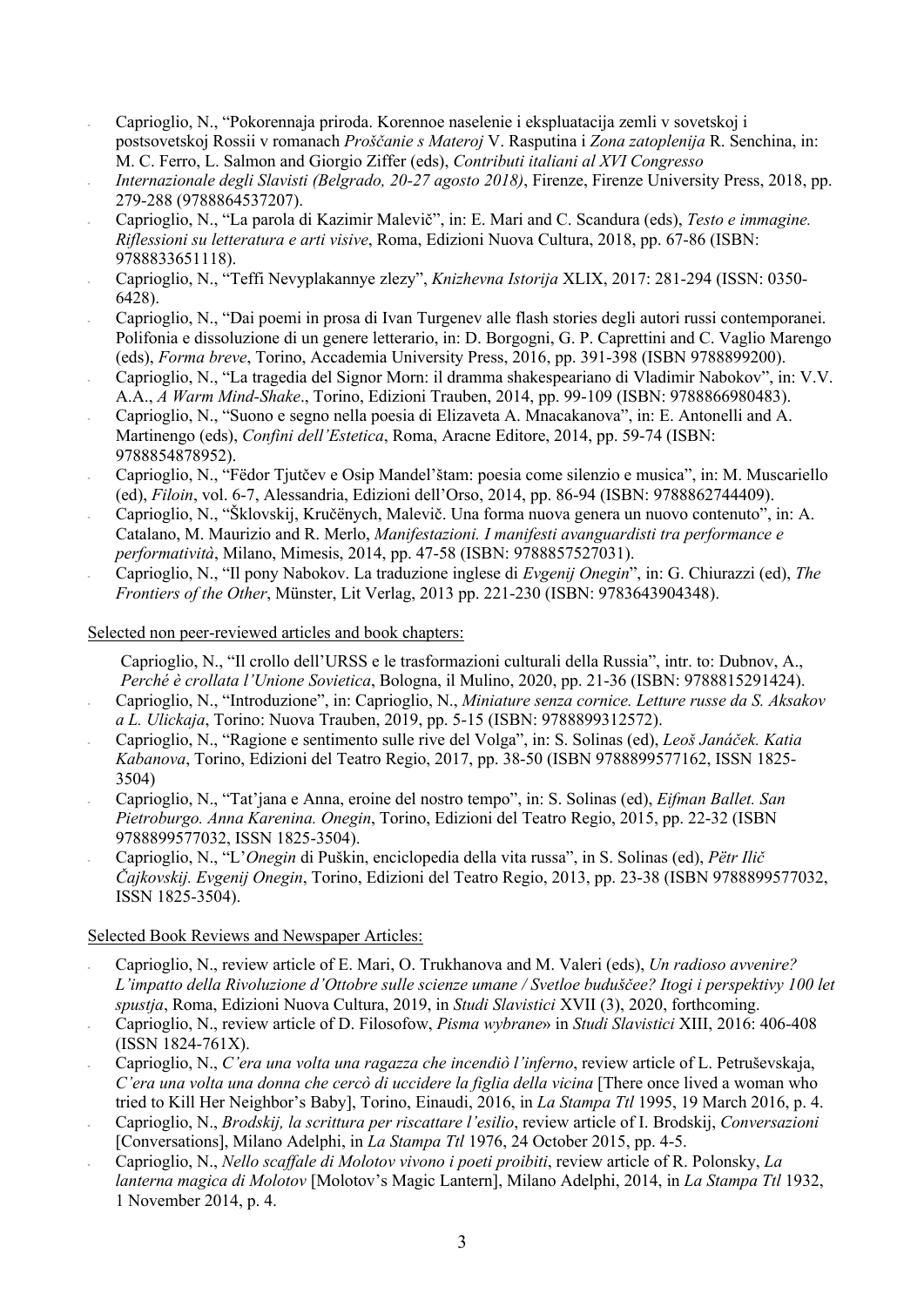- Caprioglio, N., "Pokorennaja priroda. Korennoe naselenie i ekspluatacija zemli v sovetskoj i postsovetskoj Rossii v romanach *Proščanie s Materoj* V. Rasputina i *Zona zatoplenija* R. Senchina, in: M. C. Ferro, L. Salmon and Giorgio Ziffer (eds), *Contributi italiani al XVI Congresso*
- *Internazionale degli Slavisti (Belgrado, 20-27 agosto 2018)*, Firenze, Firenze University Press, 2018, pp. 279-288 (9788864537207).
- Caprioglio, N., "La parola di Kazimir Malevič", in: E. Mari and C. Scandura (eds), *Testo e immagine. Riflessioni su letteratura e arti visive*, Roma, Edizioni Nuova Cultura, 2018, pp. 67-86 (ISBN: 9788833651118).
- Caprioglio, N., "Teffi Nevyplakannye zlezy", *Knizhevna Istorija* XLIX, 2017: 281-294 (ISSN: 0350- 6428).
- Caprioglio, N., "Dai poemi in prosa di Ivan Turgenev alle flash stories degli autori russi contemporanei. Polifonia e dissoluzione di un genere letterario, in: D. Borgogni, G. P. Caprettini and C. Vaglio Marengo (eds), *Forma breve*, Torino, Accademia University Press, 2016, pp. 391-398 (ISBN 9788899200).
- Caprioglio, N., "La tragedia del Signor Morn: il dramma shakespeariano di Vladimir Nabokov", in: V.V. A.A., *A Warm Mind-Shake*., Torino, Edizioni Trauben, 2014, pp. 99-109 (ISBN: 9788866980483).
- Caprioglio, N., "Suono e segno nella poesia di Elizaveta A. Mnacakanova", in: E. Antonelli and A. Martinengo (eds), *Confini dell'Estetica*, Roma, Aracne Editore, 2014, pp. 59-74 (ISBN: 9788854878952).
- Caprioglio, N., "Fëdor Tjutčev e Osip Mandel'štam: poesia come silenzio e musica", in: M. Muscariello (ed), *Filoin*, vol. 6-7, Alessandria, Edizioni dell'Orso, 2014, pp. 86-94 (ISBN: 9788862744409).
- Caprioglio, N., "Šklovskij, Kručënych, Malevič. Una forma nuova genera un nuovo contenuto", in: A. Catalano, M. Maurizio and R. Merlo, *Manifestazioni. I manifesti avanguardisti tra performance e performatività*, Milano, Mimesis, 2014, pp. 47-58 (ISBN: 9788857527031).
- Caprioglio, N., "Il pony Nabokov. La traduzione inglese di *Evgenij Onegin*", in: G. Chiurazzi (ed), *The Frontiers of the Other*, Münster, Lit Verlag, 2013 pp. 221-230 (ISBN: 9783643904348).

#### Selected non peer-reviewed articles and book chapters:

- Caprioglio, N., "Il crollo dell'URSS e le trasformazioni culturali della Russia", intr. to: Dubnov, A., *Perché è crollata l'Unione Sovietica*, Bologna, il Mulino, 2020, pp. 21-36 (ISBN: 9788815291424).
- Caprioglio, N., "Introduzione", in: Caprioglio, N., *Miniature senza cornice. Letture russe da S. Aksakov a L. Ulickaja*, Torino: Nuova Trauben, 2019, pp. 5-15 (ISBN: 9788899312572).
- Caprioglio, N., "Ragione e sentimento sulle rive del Volga", in: S. Solinas (ed), *Leoš Janáček. Katia Kabanova*, Torino, Edizioni del Teatro Regio, 2017, pp. 38-50 (ISBN 9788899577162, ISSN 1825- 3504)
- Caprioglio, N., "Tat'jana e Anna, eroine del nostro tempo", in: S. Solinas (ed), *Eifman Ballet. San Pietroburgo. Anna Karenina. Onegin*, Torino, Edizioni del Teatro Regio, 2015, pp. 22-32 (ISBN 9788899577032, ISSN 1825-3504).
- Caprioglio, N., "L'*Onegin* di Puškin, enciclopedia della vita russa", in S. Solinas (ed), *Pëtr Ilič Čajkovskij. Evgenij Onegin*, Torino, Edizioni del Teatro Regio, 2013, pp. 23-38 (ISBN 9788899577032, ISSN 1825-3504).

# Selected Book Reviews and Newspaper Articles:

- Caprioglio, N., review article of E. Mari, O. Trukhanova and M. Valeri (eds), *Un radioso avvenire? L'impatto della Rivoluzione d'Ottobre sulle scienze umane / Svetloe buduščee? Itogi i perspektivy 100 let spustja*, Roma, Edizioni Nuova Cultura, 2019, in *Studi Slavistici* XVII (3), 2020, forthcoming.
- Caprioglio, N., review article of D. Filosofow, *Pisma wybrane*» in *Studi Slavistici* XIII, 2016: 406-408 (ISSN 1824-761X).
- Caprioglio, N., *C'era una volta una ragazza che incendiò l'inferno*, review article of L. Petruševskaja, *C'era una volta una donna che cercò di uccidere la figlia della vicina* [There once lived a woman who tried to Kill Her Neighbor's Baby], Torino, Einaudi, 2016, in *La Stampa Ttl* 1995, 19 March 2016, p. 4.
- Caprioglio, N., *Brodskij, la scrittura per riscattare l'esilio*, review article of I. Brodskij, *Conversazioni*  [Conversations], Milano Adelphi, in *La Stampa Ttl* 1976, 24 October 2015, pp. 4-5.
- Caprioglio, N., *Nello scaffale di Molotov vivono i poeti proibiti*, review article of R. Polonsky, *La lanterna magica di Molotov* [Molotov's Magic Lantern], Milano Adelphi, 2014, in *La Stampa Ttl* 1932, 1 November 2014, p. 4.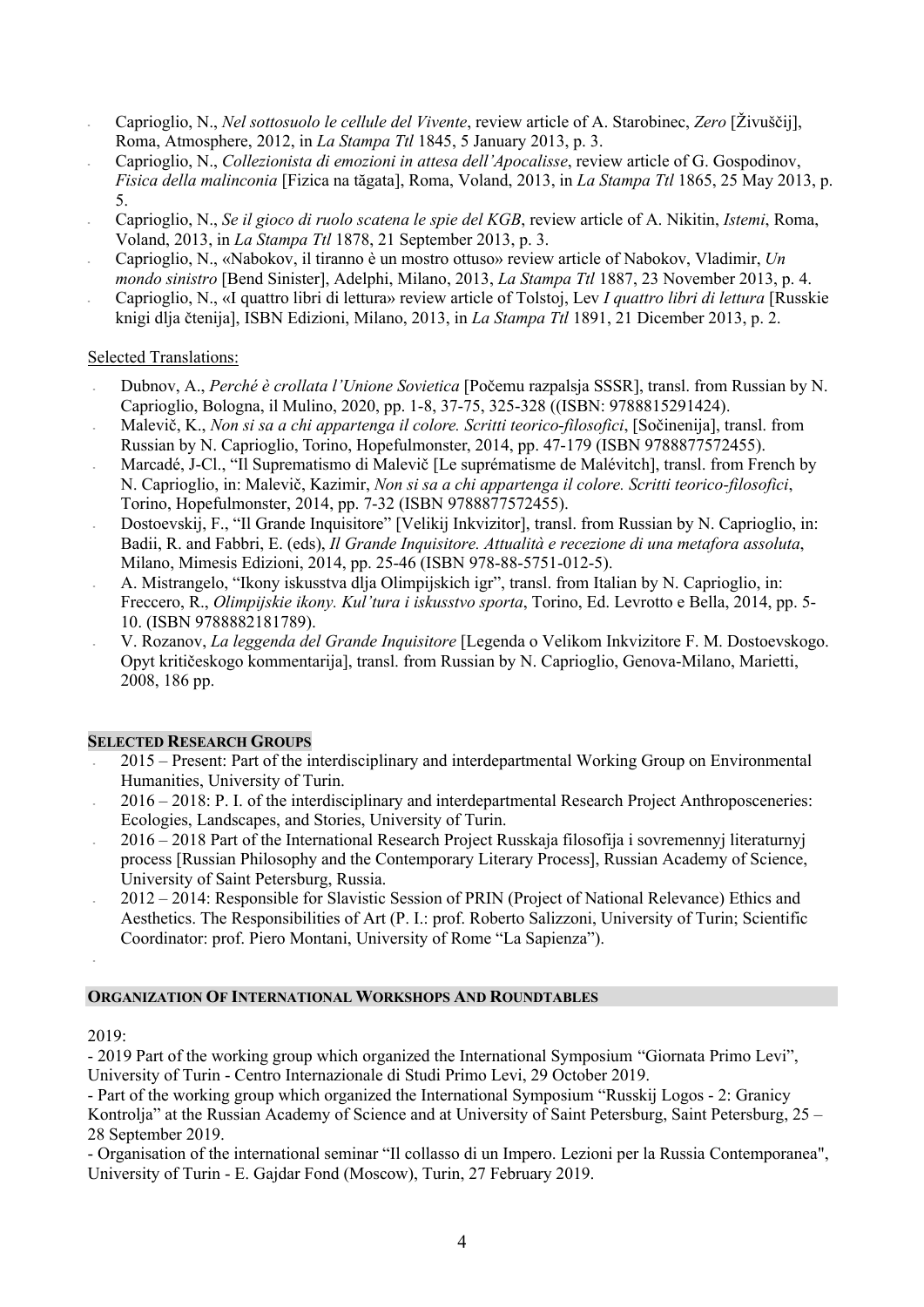- Caprioglio, N., *Nel sottosuolo le cellule del Vivente*, review article of A. Starobinec, *Zero* [Živuščij], Roma, Atmosphere, 2012, in *La Stampa Ttl* 1845, 5 January 2013, p. 3.
- Caprioglio, N., *Collezionista di emozioni in attesa dell'Apocalisse*, review article of G. Gospodinov, *Fisica della malinconia* [Fizica na tăgata], Roma, Voland, 2013, in *La Stampa Ttl* 1865, 25 May 2013, p. 5.
- Caprioglio, N., *Se il gioco di ruolo scatena le spie del KGB*, review article of A. Nikitin, *Istemi*, Roma, Voland, 2013, in *La Stampa Ttl* 1878, 21 September 2013, p. 3.
- Caprioglio, N., «Nabokov, il tiranno è un mostro ottuso» review article of Nabokov, Vladimir, *Un mondo sinistro* [Bend Sinister], Adelphi, Milano, 2013, *La Stampa Ttl* 1887, 23 November 2013, p. 4.
- Caprioglio, N., «I quattro libri di lettura» review article of Tolstoj, Lev *I quattro libri di lettura* [Russkie knigi dlja čtenija], ISBN Edizioni, Milano, 2013, in *La Stampa Ttl* 1891, 21 Dicember 2013, p. 2.

### Selected Translations:

- Dubnov, A., *Perché è crollata l'Unione Sovietica* [Počemu razpalsja SSSR], transl. from Russian by N. Caprioglio, Bologna, il Mulino, 2020, pp. 1-8, 37-75, 325-328 ((ISBN: 9788815291424).
- Malevič, K., *Non si sa a chi appartenga il colore. Scritti teorico-filosofici*, [Sočinenija], transl. from Russian by N. Caprioglio, Torino, Hopefulmonster, 2014, pp. 47-179 (ISBN 9788877572455).
- Marcadé, J-Cl., "Il Suprematismo di Malevič [Le suprématisme de Malévitch], transl. from French by N. Caprioglio, in: Malevič, Kazimir, *Non si sa a chi appartenga il colore. Scritti teorico-filosofici*, Torino, Hopefulmonster, 2014, pp. 7-32 (ISBN 9788877572455).
- Dostoevskij, F., "Il Grande Inquisitore" [Velikij Inkvizitor], transl. from Russian by N. Caprioglio, in: Badii, R. and Fabbri, E. (eds), *Il Grande Inquisitore. Attualità e recezione di una metafora assoluta*, Milano, Mimesis Edizioni, 2014, pp. 25-46 (ISBN 978-88-5751-012-5).
- A. Mistrangelo, "Ikony iskusstva dlja Olimpijskich igr", transl. from Italian by N. Caprioglio, in: Freccero, R., *Olimpijskie ikony. Kul'tura i iskusstvo sporta*, Torino, Ed. Levrotto e Bella, 2014, pp. 5- 10. (ISBN 9788882181789).
- V. Rozanov, *La leggenda del Grande Inquisitore* [Legenda o Velikom Inkvizitore F. M. Dostoevskogo. Opyt kritičeskogo kommentarija], transl. from Russian by N. Caprioglio, Genova-Milano, Marietti, 2008, 186 pp.

#### **SELECTED RESEARCH GROUPS**

- 2015 Present: Part of the interdisciplinary and interdepartmental Working Group on Environmental Humanities, University of Turin.
- 2016 2018: P. I. of the interdisciplinary and interdepartmental Research Project Anthroposceneries: Ecologies, Landscapes, and Stories, University of Turin.
- 2016 2018 Part of the International Research Project Russkaja filosofija i sovremennyj literaturnyj process [Russian Philosophy and the Contemporary Literary Process], Russian Academy of Science, University of Saint Petersburg, Russia.
- 2012 2014: Responsible for Slavistic Session of PRIN (Project of National Relevance) Ethics and Aesthetics. The Responsibilities of Art (P. I.: prof. Roberto Salizzoni, University of Turin; Scientific Coordinator: prof. Piero Montani, University of Rome "La Sapienza").

# **ORGANIZATION OF INTERNATIONAL WORKSHOPS AND ROUNDTABLES**

#### 2019:

-

- 2019 Part of the working group which organized the International Symposium "Giornata Primo Levi", University of Turin - Centro Internazionale di Studi Primo Levi, 29 October 2019.

- Part of the working group which organized the International Symposium "Russkij Logos - 2: Granicy Kontrolja" at the Russian Academy of Science and at University of Saint Petersburg, Saint Petersburg, 25 – 28 September 2019.

- Organisation of the international seminar "Il collasso di un Impero. Lezioni per la Russia Contemporanea", University of Turin - E. Gajdar Fond (Moscow), Turin, 27 February 2019.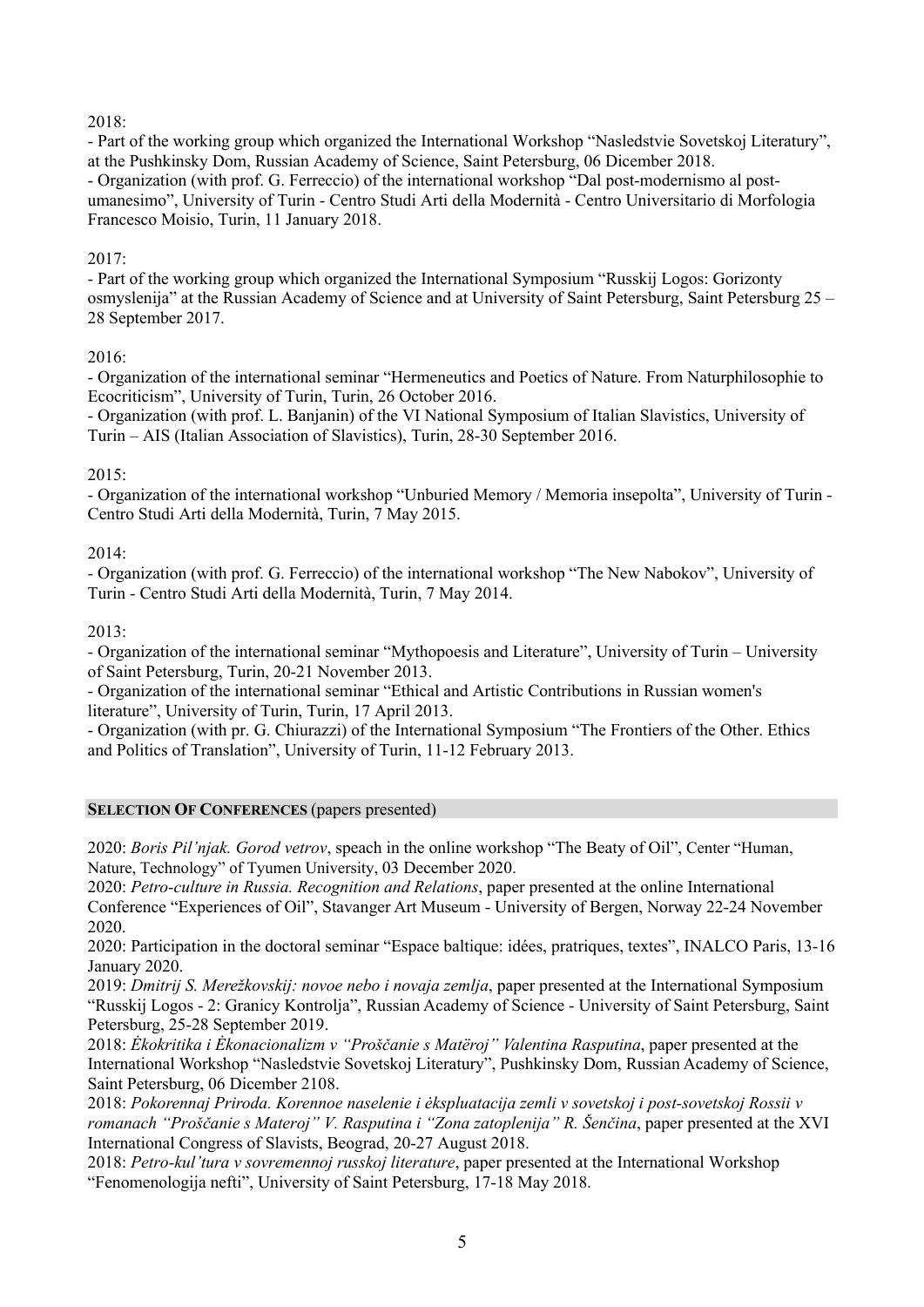# 2018:

- Part of the working group which organized the International Workshop "Nasledstvie Sovetskoj Literatury", at the Pushkinsky Dom, Russian Academy of Science, Saint Petersburg, 06 Dicember 2018. - Organization (with prof. G. Ferreccio) of the international workshop "Dal post-modernismo al postumanesimo", University of Turin - Centro Studi Arti della Modernità - Centro Universitario di Morfologia Francesco Moisio, Turin, 11 January 2018.

# 2017:

- Part of the working group which organized the International Symposium "Russkij Logos: Gorizonty osmyslenija" at the Russian Academy of Science and at University of Saint Petersburg, Saint Petersburg 25 – 28 September 2017.

# 2016:

- Organization of the international seminar "Hermeneutics and Poetics of Nature. From Naturphilosophie to Ecocriticism", University of Turin, Turin, 26 October 2016.

- Organization (with prof. L. Banjanin) of the VI National Symposium of Italian Slavistics, University of Turin – AIS (Italian Association of Slavistics), Turin, 28-30 September 2016.

# 2015:

- Organization of the international workshop "Unburied Memory / Memoria insepolta", University of Turin - Centro Studi Arti della Modernità, Turin, 7 May 2015.

# 2014:

- Organization (with prof. G. Ferreccio) of the international workshop "The New Nabokov", University of Turin - Centro Studi Arti della Modernità, Turin, 7 May 2014.

# 2013:

- Organization of the international seminar "Mythopoesis and Literature", University of Turin – University of Saint Petersburg, Turin, 20-21 November 2013.

- Organization of the international seminar "Ethical and Artistic Contributions in Russian women's literature", University of Turin, Turin, 17 April 2013.

- Organization (with pr. G. Chiurazzi) of the International Symposium "The Frontiers of the Other. Ethics and Politics of Translation", University of Turin, 11-12 February 2013.

# **SELECTION OF CONFERENCES** (papers presented)

2020: *Boris Pil'njak. Gorod vetrov*, speach in the online workshop "The Beaty of Oil", Center "Human, Nature, Technology" of Tyumen University, 03 December 2020.

2020: *Petro-culture in Russia. Recognition and Relations*, paper presented at the online International Conference "Experiences of Oil", Stavanger Art Museum - University of Bergen, Norway 22-24 November 2020.

2020: Participation in the doctoral seminar "Espace baltique: idées, pratriques, textes", INALCO Paris, 13-16 January 2020.

2019: *Dmitrij S. Merežkovskij: novoe nebo i novaja zemlja*, paper presented at the International Symposium "Russkij Logos - 2: Granicy Kontrolja", Russian Academy of Science - University of Saint Petersburg, Saint Petersburg, 25-28 September 2019.

2018: *Ėkokritika i Ėkonacionalizm v "Proščanie s Matëroj" Valentina Rasputina*, paper presented at the International Workshop "Nasledstvie Sovetskoj Literatury", Pushkinsky Dom, Russian Academy of Science, Saint Petersburg, 06 Dicember 2108.

2018: *Pokorennaj Priroda. Korennoe naselenie i ėkspluatacija zemli v sovetskoj i post-sovetskoj Rossii v romanach "Proščanie s Materoj" V. Rasputina i "Zona zatoplenija" R. Šenčina*, paper presented at the XVI International Congress of Slavists, Beograd, 20-27 August 2018.

2018: *Petro-kul'tura v sovremennoj russkoj literature*, paper presented at the International Workshop "Fenomenologija nefti", University of Saint Petersburg, 17-18 May 2018.